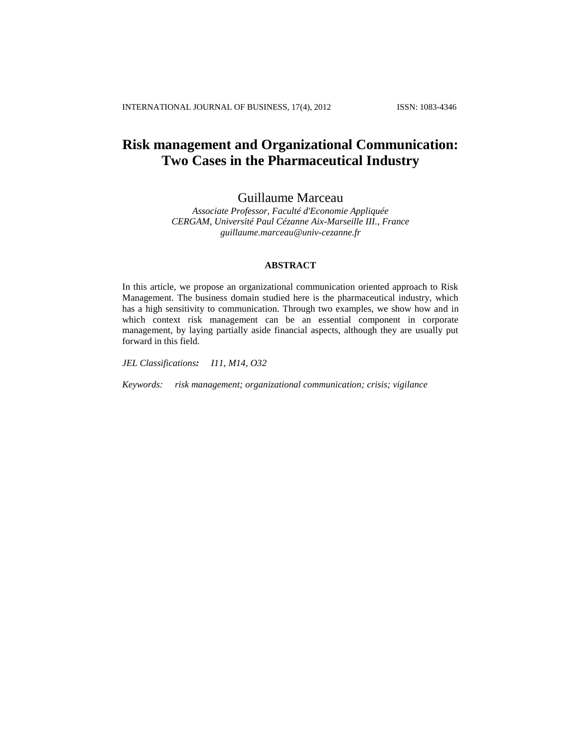# **Risk management and Organizational Communication: Two Cases in the Pharmaceutical Industry**

Guillaume Marceau

*Associate Professor, Faculté d'Economie Appliquée CERGAM, Université Paul Cézanne Aix-Marseille III., France guillaume.marceau@univ-cezanne.fr*

### **ABSTRACT**

In this article, we propose an organizational communication oriented approach to Risk Management. The business domain studied here is the pharmaceutical industry, which has a high sensitivity to communication. Through two examples, we show how and in which context risk management can be an essential component in corporate management, by laying partially aside financial aspects, although they are usually put forward in this field.

*JEL Classifications: I11, M14, O32*

*Keywords: risk management; organizational communication; crisis; vigilance*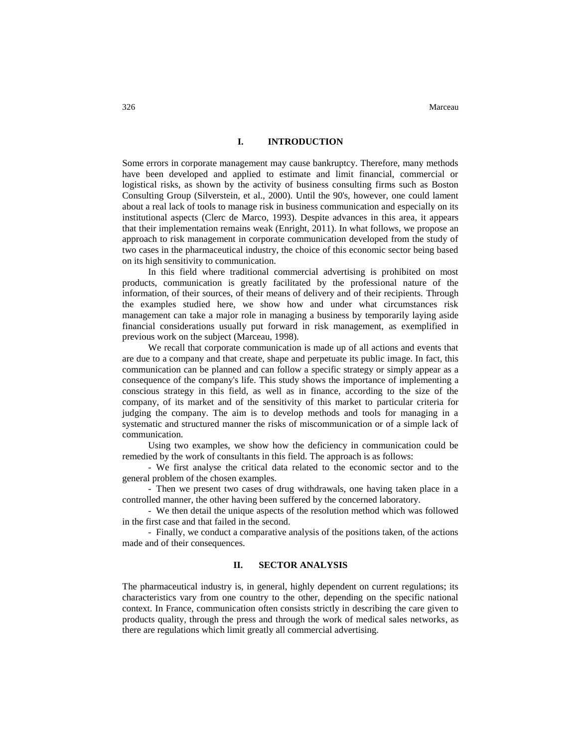### **I. INTRODUCTION**

Some errors in corporate management may cause bankruptcy. Therefore, many methods have been developed and applied to estimate and limit financial, commercial or logistical risks, as shown by the activity of business consulting firms such as Boston Consulting Group (Silverstein, et al., 2000). Until the 90's, however, one could lament about a real lack of tools to manage risk in business communication and especially on its institutional aspects (Clerc de Marco, 1993). Despite advances in this area, it appears that their implementation remains weak (Enright, 2011). In what follows, we propose an approach to risk management in corporate communication developed from the study of two cases in the pharmaceutical industry, the choice of this economic sector being based on its high sensitivity to communication.

In this field where traditional commercial advertising is prohibited on most products, communication is greatly facilitated by the professional nature of the information, of their sources, of their means of delivery and of their recipients. Through the examples studied here, we show how and under what circumstances risk management can take a major role in managing a business by temporarily laying aside financial considerations usually put forward in risk management, as exemplified in previous work on the subject (Marceau, 1998).

We recall that corporate communication is made up of all actions and events that are due to a company and that create, shape and perpetuate its public image. In fact, this communication can be planned and can follow a specific strategy or simply appear as a consequence of the company's life. This study shows the importance of implementing a conscious strategy in this field, as well as in finance, according to the size of the company, of its market and of the sensitivity of this market to particular criteria for judging the company. The aim is to develop methods and tools for managing in a systematic and structured manner the risks of miscommunication or of a simple lack of communication.

Using two examples, we show how the deficiency in communication could be remedied by the work of consultants in this field. The approach is as follows:

- We first analyse the critical data related to the economic sector and to the general problem of the chosen examples.

- Then we present two cases of drug withdrawals, one having taken place in a controlled manner, the other having been suffered by the concerned laboratory.

- We then detail the unique aspects of the resolution method which was followed in the first case and that failed in the second.

- Finally, we conduct a comparative analysis of the positions taken, of the actions made and of their consequences.

### **II. SECTOR ANALYSIS**

The pharmaceutical industry is, in general, highly dependent on current regulations; its characteristics vary from one country to the other, depending on the specific national context. In France, communication often consists strictly in describing the care given to products quality, through the press and through the work of medical sales networks, as there are regulations which limit greatly all commercial advertising.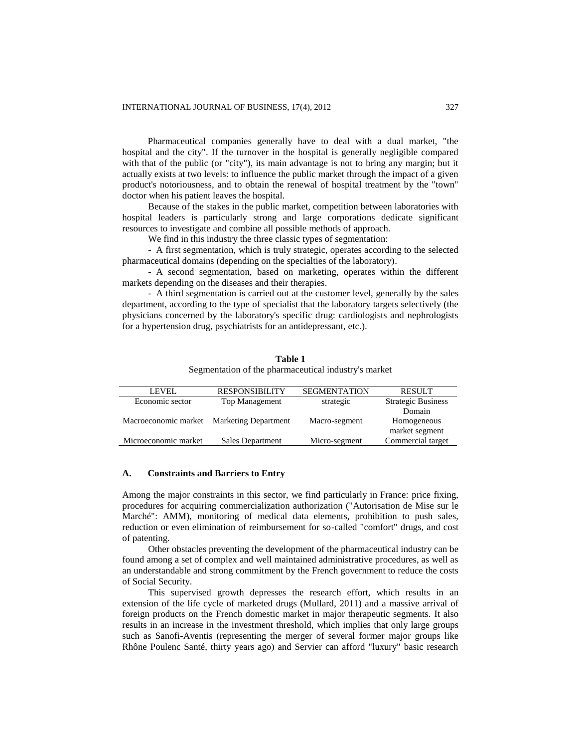Pharmaceutical companies generally have to deal with a dual market, "the hospital and the city". If the turnover in the hospital is generally negligible compared with that of the public (or "city"), its main advantage is not to bring any margin; but it actually exists at two levels: to influence the public market through the impact of a given product's notoriousness, and to obtain the renewal of hospital treatment by the "town" doctor when his patient leaves the hospital.

Because of the stakes in the public market, competition between laboratories with hospital leaders is particularly strong and large corporations dedicate significant resources to investigate and combine all possible methods of approach.

We find in this industry the three classic types of segmentation:

- A first segmentation, which is truly strategic, operates according to the selected pharmaceutical domains (depending on the specialties of the laboratory).

- A second segmentation, based on marketing, operates within the different markets depending on the diseases and their therapies.

- A third segmentation is carried out at the customer level, generally by the sales department, according to the type of specialist that the laboratory targets selectively (the physicians concerned by the laboratory's specific drug: cardiologists and nephrologists for a hypertension drug, psychiatrists for an antidepressant, etc.).

#### **Table 1**

Segmentation of the pharmaceutical industry's market

| LEVEL.                                    | <b>RESPONSIBILITY</b> | <b>SEGMENTATION</b> | <b>RESULT</b>             |
|-------------------------------------------|-----------------------|---------------------|---------------------------|
| Economic sector                           | <b>Top Management</b> | strategic           | <b>Strategic Business</b> |
|                                           |                       |                     | Domain                    |
| Macroeconomic market Marketing Department |                       | Macro-segment       | Homogeneous               |
|                                           |                       |                     | market segment            |
| Microeconomic market                      | Sales Department      | Micro-segment       | Commercial target         |

### **A. Constraints and Barriers to Entry**

Among the major constraints in this sector, we find particularly in France: price fixing, procedures for acquiring commercialization authorization ("Autorisation de Mise sur le Marché": AMM), monitoring of medical data elements, prohibition to push sales, reduction or even elimination of reimbursement for so-called "comfort" drugs, and cost of patenting.

Other obstacles preventing the development of the pharmaceutical industry can be found among a set of complex and well maintained administrative procedures, as well as an understandable and strong commitment by the French government to reduce the costs of Social Security.

This supervised growth depresses the research effort, which results in an extension of the life cycle of marketed drugs (Mullard, 2011) and a massive arrival of foreign products on the French domestic market in major therapeutic segments. It also results in an increase in the investment threshold, which implies that only large groups such as Sanofi-Aventis (representing the merger of several former major groups like Rhône Poulenc Santé, thirty years ago) and Servier can afford "luxury" basic research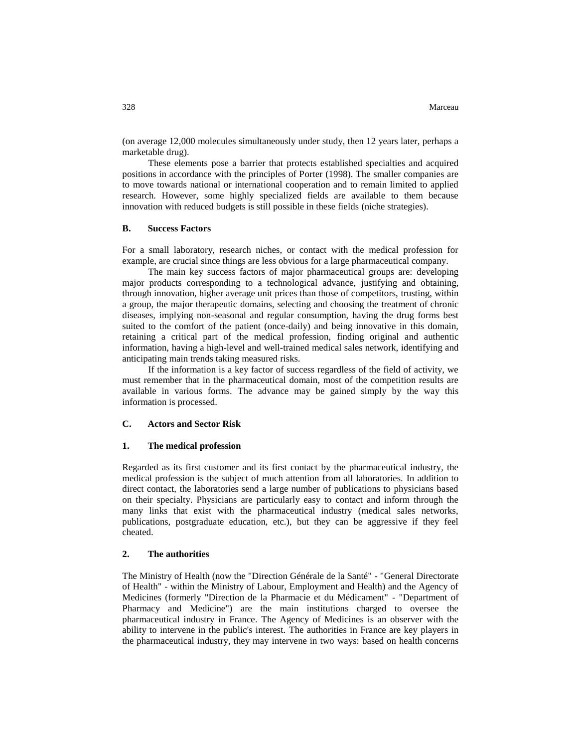(on average 12,000 molecules simultaneously under study, then 12 years later, perhaps a marketable drug).

These elements pose a barrier that protects established specialties and acquired positions in accordance with the principles of Porter (1998). The smaller companies are to move towards national or international cooperation and to remain limited to applied research. However, some highly specialized fields are available to them because innovation with reduced budgets is still possible in these fields (niche strategies).

### **B. Success Factors**

For a small laboratory, research niches, or contact with the medical profession for example, are crucial since things are less obvious for a large pharmaceutical company.

The main key success factors of major pharmaceutical groups are: developing major products corresponding to a technological advance, justifying and obtaining, through innovation, higher average unit prices than those of competitors, trusting, within a group, the major therapeutic domains, selecting and choosing the treatment of chronic diseases, implying non-seasonal and regular consumption, having the drug forms best suited to the comfort of the patient (once-daily) and being innovative in this domain, retaining a critical part of the medical profession, finding original and authentic information, having a high-level and well-trained medical sales network, identifying and anticipating main trends taking measured risks.

If the information is a key factor of success regardless of the field of activity, we must remember that in the pharmaceutical domain, most of the competition results are available in various forms. The advance may be gained simply by the way this information is processed.

### **C. Actors and Sector Risk**

#### **1. The medical profession**

Regarded as its first customer and its first contact by the pharmaceutical industry, the medical profession is the subject of much attention from all laboratories. In addition to direct contact, the laboratories send a large number of publications to physicians based on their specialty. Physicians are particularly easy to contact and inform through the many links that exist with the pharmaceutical industry (medical sales networks, publications, postgraduate education, etc.), but they can be aggressive if they feel cheated.

### **2. The authorities**

The Ministry of Health (now the "Direction Générale de la Santé" - "General Directorate of Health" - within the Ministry of Labour, Employment and Health) and the Agency of Medicines (formerly "Direction de la Pharmacie et du Médicament" - "Department of Pharmacy and Medicine") are the main institutions charged to oversee the pharmaceutical industry in France. The Agency of Medicines is an observer with the ability to intervene in the public's interest. The authorities in France are key players in the pharmaceutical industry, they may intervene in two ways: based on health concerns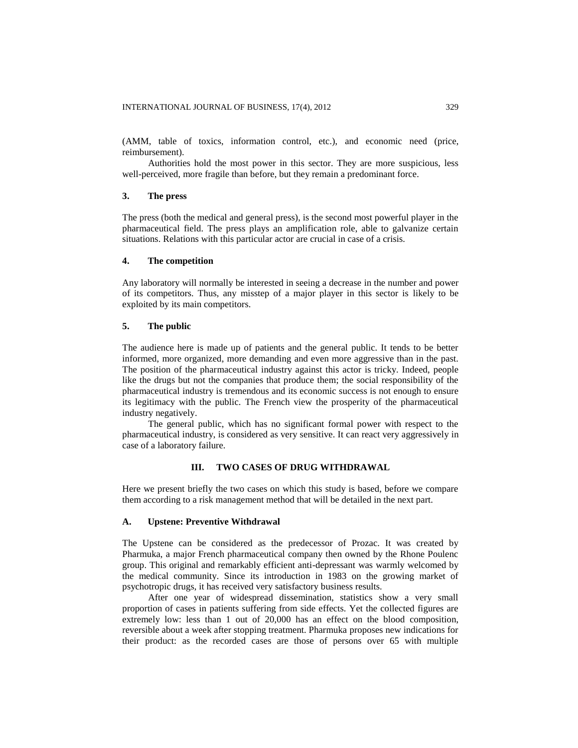(AMM, table of toxics, information control, etc.), and economic need (price, reimbursement).

Authorities hold the most power in this sector. They are more suspicious, less well-perceived, more fragile than before, but they remain a predominant force.

### **3. The press**

The press (both the medical and general press), is the second most powerful player in the pharmaceutical field. The press plays an amplification role, able to galvanize certain situations. Relations with this particular actor are crucial in case of a crisis.

### **4. The competition**

Any laboratory will normally be interested in seeing a decrease in the number and power of its competitors. Thus, any misstep of a major player in this sector is likely to be exploited by its main competitors.

### **5. The public**

The audience here is made up of patients and the general public. It tends to be better informed, more organized, more demanding and even more aggressive than in the past. The position of the pharmaceutical industry against this actor is tricky. Indeed, people like the drugs but not the companies that produce them; the social responsibility of the pharmaceutical industry is tremendous and its economic success is not enough to ensure its legitimacy with the public. The French view the prosperity of the pharmaceutical industry negatively.

The general public, which has no significant formal power with respect to the pharmaceutical industry, is considered as very sensitive. It can react very aggressively in case of a laboratory failure.

### **III. TWO CASES OF DRUG WITHDRAWAL**

Here we present briefly the two cases on which this study is based, before we compare them according to a risk management method that will be detailed in the next part.

### **A. Upstene: Preventive Withdrawal**

The Upstene can be considered as the predecessor of Prozac. It was created by Pharmuka, a major French pharmaceutical company then owned by the Rhone Poulenc group. This original and remarkably efficient anti-depressant was warmly welcomed by the medical community. Since its introduction in 1983 on the growing market of psychotropic drugs, it has received very satisfactory business results.

After one year of widespread dissemination, statistics show a very small proportion of cases in patients suffering from side effects. Yet the collected figures are extremely low: less than 1 out of 20,000 has an effect on the blood composition, reversible about a week after stopping treatment. Pharmuka proposes new indications for their product: as the recorded cases are those of persons over 65 with multiple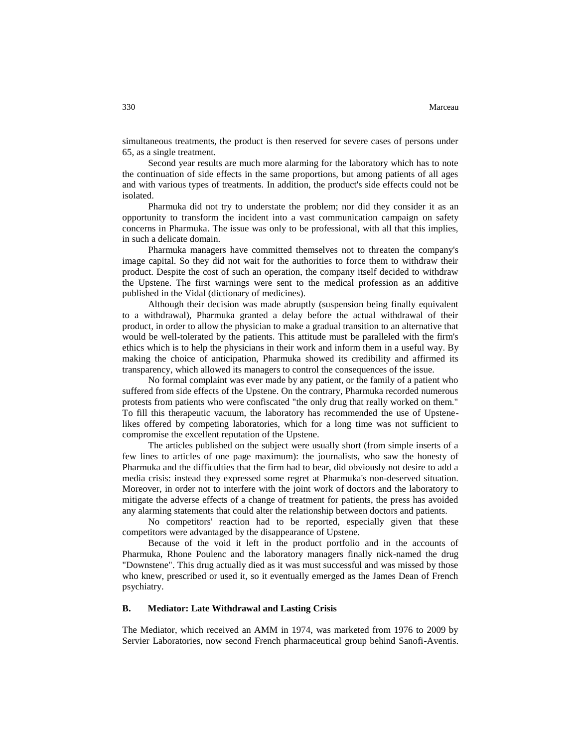simultaneous treatments, the product is then reserved for severe cases of persons under 65, as a single treatment.

Second year results are much more alarming for the laboratory which has to note the continuation of side effects in the same proportions, but among patients of all ages and with various types of treatments. In addition, the product's side effects could not be isolated.

Pharmuka did not try to understate the problem; nor did they consider it as an opportunity to transform the incident into a vast communication campaign on safety concerns in Pharmuka. The issue was only to be professional, with all that this implies, in such a delicate domain.

Pharmuka managers have committed themselves not to threaten the company's image capital. So they did not wait for the authorities to force them to withdraw their product. Despite the cost of such an operation, the company itself decided to withdraw the Upstene. The first warnings were sent to the medical profession as an additive published in the Vidal (dictionary of medicines).

Although their decision was made abruptly (suspension being finally equivalent to a withdrawal), Pharmuka granted a delay before the actual withdrawal of their product, in order to allow the physician to make a gradual transition to an alternative that would be well-tolerated by the patients. This attitude must be paralleled with the firm's ethics which is to help the physicians in their work and inform them in a useful way. By making the choice of anticipation, Pharmuka showed its credibility and affirmed its transparency, which allowed its managers to control the consequences of the issue.

No formal complaint was ever made by any patient, or the family of a patient who suffered from side effects of the Upstene. On the contrary, Pharmuka recorded numerous protests from patients who were confiscated "the only drug that really worked on them." To fill this therapeutic vacuum, the laboratory has recommended the use of Upstenelikes offered by competing laboratories, which for a long time was not sufficient to compromise the excellent reputation of the Upstene.

The articles published on the subject were usually short (from simple inserts of a few lines to articles of one page maximum): the journalists, who saw the honesty of Pharmuka and the difficulties that the firm had to bear, did obviously not desire to add a media crisis: instead they expressed some regret at Pharmuka's non-deserved situation. Moreover, in order not to interfere with the joint work of doctors and the laboratory to mitigate the adverse effects of a change of treatment for patients, the press has avoided any alarming statements that could alter the relationship between doctors and patients.

No competitors' reaction had to be reported, especially given that these competitors were advantaged by the disappearance of Upstene.

Because of the void it left in the product portfolio and in the accounts of Pharmuka, Rhone Poulenc and the laboratory managers finally nick-named the drug "Downstene". This drug actually died as it was must successful and was missed by those who knew, prescribed or used it, so it eventually emerged as the James Dean of French psychiatry.

### **B. Mediator: Late Withdrawal and Lasting Crisis**

The Mediator, which received an AMM in 1974, was marketed from 1976 to 2009 by Servier Laboratories, now second French pharmaceutical group behind Sanofi-Aventis.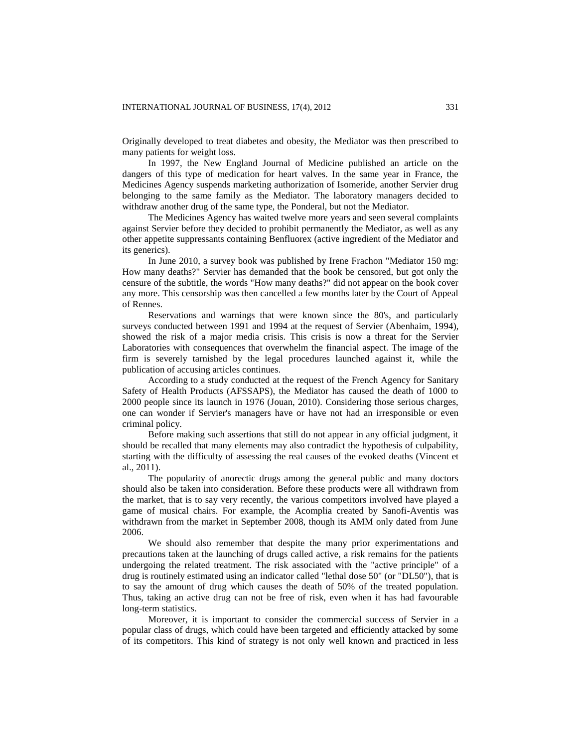Originally developed to treat diabetes and obesity, the Mediator was then prescribed to many patients for weight loss.

In 1997, the New England Journal of Medicine published an article on the dangers of this type of medication for heart valves. In the same year in France, the Medicines Agency suspends marketing authorization of Isomeride, another Servier drug belonging to the same family as the Mediator. The laboratory managers decided to withdraw another drug of the same type, the Ponderal, but not the Mediator.

The Medicines Agency has waited twelve more years and seen several complaints against Servier before they decided to prohibit permanently the Mediator, as well as any other appetite suppressants containing Benfluorex (active ingredient of the Mediator and its generics).

In June 2010, a survey book was published by Irene Frachon "Mediator 150 mg: How many deaths?" Servier has demanded that the book be censored, but got only the censure of the subtitle, the words "How many deaths?" did not appear on the book cover any more. This censorship was then cancelled a few months later by the Court of Appeal of Rennes.

Reservations and warnings that were known since the 80's, and particularly surveys conducted between 1991 and 1994 at the request of Servier (Abenhaim, 1994), showed the risk of a major media crisis. This crisis is now a threat for the Servier Laboratories with consequences that overwhelm the financial aspect. The image of the firm is severely tarnished by the legal procedures launched against it, while the publication of accusing articles continues.

According to a study conducted at the request of the French Agency for Sanitary Safety of Health Products (AFSSAPS), the Mediator has caused the death of 1000 to 2000 people since its launch in 1976 (Jouan, 2010). Considering those serious charges, one can wonder if Servier's managers have or have not had an irresponsible or even criminal policy.

Before making such assertions that still do not appear in any official judgment, it should be recalled that many elements may also contradict the hypothesis of culpability, starting with the difficulty of assessing the real causes of the evoked deaths (Vincent et al., 2011).

The popularity of anorectic drugs among the general public and many doctors should also be taken into consideration. Before these products were all withdrawn from the market, that is to say very recently, the various competitors involved have played a game of musical chairs. For example, the Acomplia created by Sanofi-Aventis was withdrawn from the market in September 2008, though its AMM only dated from June 2006.

We should also remember that despite the many prior experimentations and precautions taken at the launching of drugs called active, a risk remains for the patients undergoing the related treatment. The risk associated with the "active principle" of a drug is routinely estimated using an indicator called "lethal dose 50" (or "DL50"), that is to say the amount of drug which causes the death of 50% of the treated population. Thus, taking an active drug can not be free of risk, even when it has had favourable long-term statistics.

Moreover, it is important to consider the commercial success of Servier in a popular class of drugs, which could have been targeted and efficiently attacked by some of its competitors. This kind of strategy is not only well known and practiced in less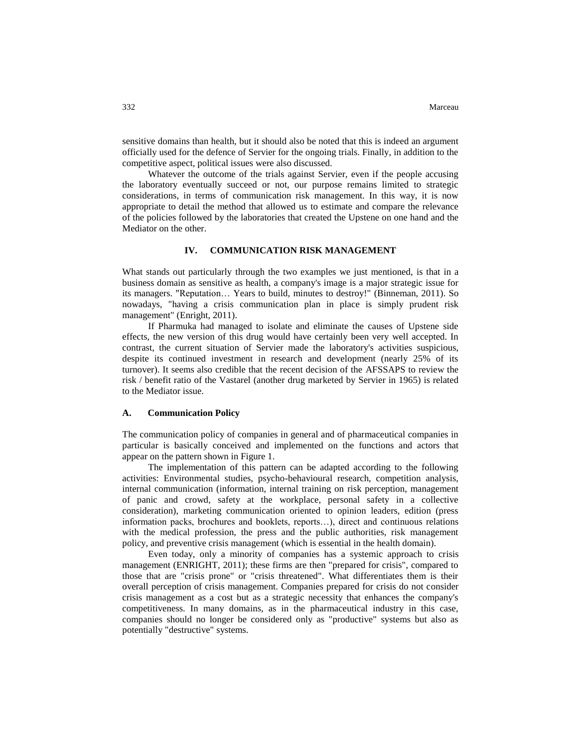sensitive domains than health, but it should also be noted that this is indeed an argument officially used for the defence of Servier for the ongoing trials. Finally, in addition to the competitive aspect, political issues were also discussed.

Whatever the outcome of the trials against Servier, even if the people accusing the laboratory eventually succeed or not, our purpose remains limited to strategic considerations, in terms of communication risk management. In this way, it is now appropriate to detail the method that allowed us to estimate and compare the relevance of the policies followed by the laboratories that created the Upstene on one hand and the Mediator on the other.

### **IV. COMMUNICATION RISK MANAGEMENT**

What stands out particularly through the two examples we just mentioned, is that in a business domain as sensitive as health, a company's image is a major strategic issue for its managers. "Reputation… Years to build, minutes to destroy!" (Binneman, 2011). So nowadays, "having a crisis communication plan in place is simply prudent risk management" (Enright, 2011).

If Pharmuka had managed to isolate and eliminate the causes of Upstene side effects, the new version of this drug would have certainly been very well accepted. In contrast, the current situation of Servier made the laboratory's activities suspicious, despite its continued investment in research and development (nearly 25% of its turnover). It seems also credible that the recent decision of the AFSSAPS to review the risk / benefit ratio of the Vastarel (another drug marketed by Servier in 1965) is related to the Mediator issue.

#### **A. Communication Policy**

The communication policy of companies in general and of pharmaceutical companies in particular is basically conceived and implemented on the functions and actors that appear on the pattern shown in Figure 1.

The implementation of this pattern can be adapted according to the following activities: Environmental studies, psycho-behavioural research, competition analysis, internal communication (information, internal training on risk perception, management of panic and crowd, safety at the workplace, personal safety in a collective consideration), marketing communication oriented to opinion leaders, edition (press information packs, brochures and booklets, reports…), direct and continuous relations with the medical profession, the press and the public authorities, risk management policy, and preventive crisis management (which is essential in the health domain).

Even today, only a minority of companies has a systemic approach to crisis management (ENRIGHT, 2011); these firms are then "prepared for crisis", compared to those that are "crisis prone" or "crisis threatened". What differentiates them is their overall perception of crisis management. Companies prepared for crisis do not consider crisis management as a cost but as a strategic necessity that enhances the company's competitiveness. In many domains, as in the pharmaceutical industry in this case, companies should no longer be considered only as "productive" systems but also as potentially "destructive" systems.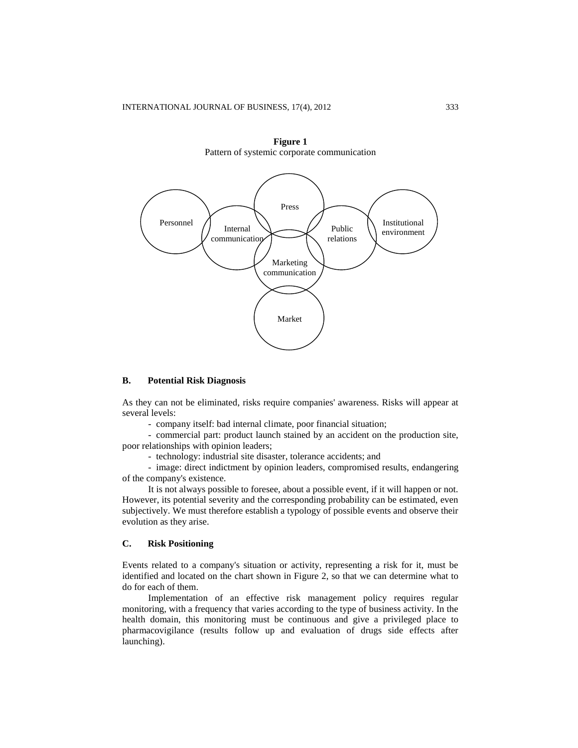



### **B. Potential Risk Diagnosis**

As they can not be eliminated, risks require companies' awareness. Risks will appear at several levels:

- company itself: bad internal climate, poor financial situation;

- commercial part: product launch stained by an accident on the production site, poor relationships with opinion leaders;

- technology: industrial site disaster, tolerance accidents; and

- image: direct indictment by opinion leaders, compromised results, endangering of the company's existence.

It is not always possible to foresee, about a possible event, if it will happen or not. However, its potential severity and the corresponding probability can be estimated, even subjectively. We must therefore establish a typology of possible events and observe their evolution as they arise.

### **C. Risk Positioning**

Events related to a company's situation or activity, representing a risk for it, must be identified and located on the chart shown in Figure 2, so that we can determine what to do for each of them.

Implementation of an effective risk management policy requires regular monitoring, with a frequency that varies according to the type of business activity. In the health domain, this monitoring must be continuous and give a privileged place to pharmacovigilance (results follow up and evaluation of drugs side effects after launching).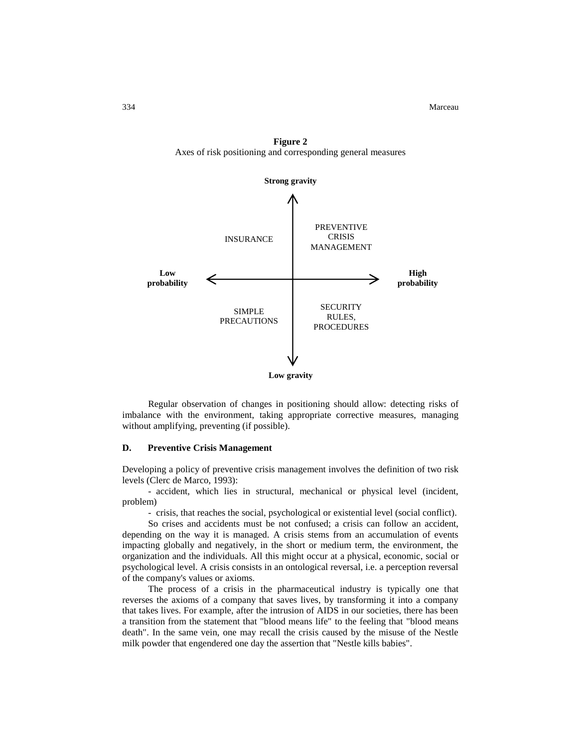334 Marceau



**Figure 2** Axes of risk positioning and corresponding general measures

Regular observation of changes in positioning should allow: detecting risks of imbalance with the environment, taking appropriate corrective measures, managing without amplifying, preventing (if possible).

### **D. Preventive Crisis Management**

Developing a policy of preventive crisis management involves the definition of two risk levels (Clerc de Marco, 1993):

- accident, which lies in structural, mechanical or physical level (incident, problem)

- crisis, that reaches the social, psychological or existential level (social conflict).

So crises and accidents must be not confused; a crisis can follow an accident, depending on the way it is managed. A crisis stems from an accumulation of events impacting globally and negatively, in the short or medium term, the environment, the organization and the individuals. All this might occur at a physical, economic, social or psychological level. A crisis consists in an ontological reversal, i.e. a perception reversal of the company's values or axioms.

The process of a crisis in the pharmaceutical industry is typically one that reverses the axioms of a company that saves lives, by transforming it into a company that takes lives. For example, after the intrusion of AIDS in our societies, there has been a transition from the statement that "blood means life" to the feeling that "blood means death". In the same vein, one may recall the crisis caused by the misuse of the Nestle milk powder that engendered one day the assertion that "Nestle kills babies".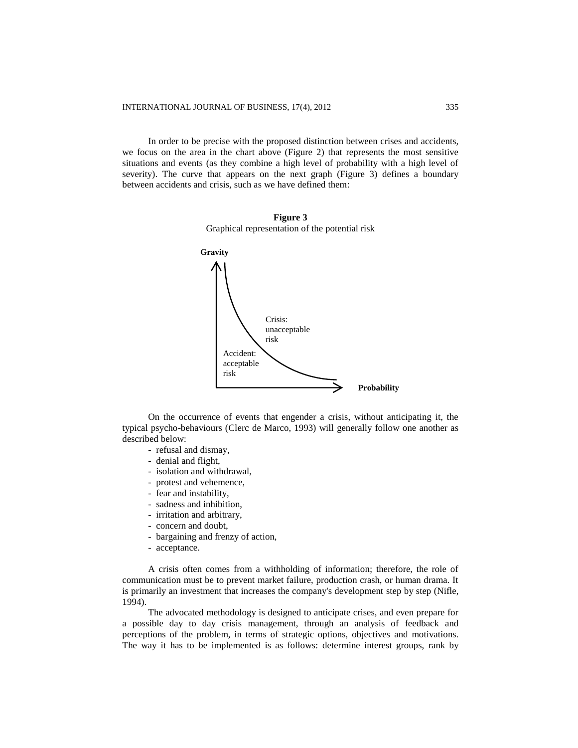In order to be precise with the proposed distinction between crises and accidents, we focus on the area in the chart above (Figure 2) that represents the most sensitive situations and events (as they combine a high level of probability with a high level of severity). The curve that appears on the next graph (Figure 3) defines a boundary between accidents and crisis, such as we have defined them:

**Figure 3** Graphical representation of the potential risk



On the occurrence of events that engender a crisis, without anticipating it, the typical psycho-behaviours (Clerc de Marco, 1993) will generally follow one another as described below:

- refusal and dismay,
- denial and flight,
- isolation and withdrawal,
- protest and vehemence,
- fear and instability,
- sadness and inhibition,
- irritation and arbitrary,
- concern and doubt,
- bargaining and frenzy of action,
- acceptance.

A crisis often comes from a withholding of information; therefore, the role of communication must be to prevent market failure, production crash, or human drama. It is primarily an investment that increases the company's development step by step (Nifle, 1994).

The advocated methodology is designed to anticipate crises, and even prepare for a possible day to day crisis management, through an analysis of feedback and perceptions of the problem, in terms of strategic options, objectives and motivations. The way it has to be implemented is as follows: determine interest groups, rank by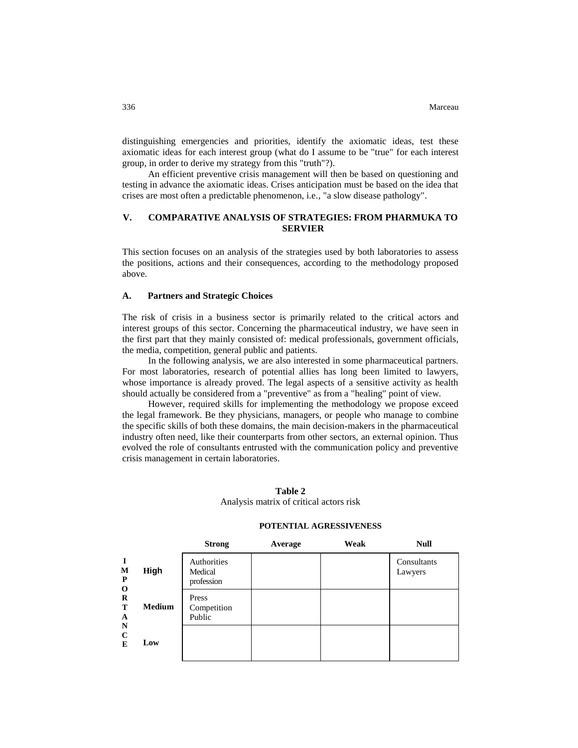distinguishing emergencies and priorities, identify the axiomatic ideas, test these axiomatic ideas for each interest group (what do I assume to be "true" for each interest group, in order to derive my strategy from this "truth"?).

An efficient preventive crisis management will then be based on questioning and testing in advance the axiomatic ideas. Crises anticipation must be based on the idea that crises are most often a predictable phenomenon, i.e., "a slow disease pathology".

### **V. COMPARATIVE ANALYSIS OF STRATEGIES: FROM PHARMUKA TO SERVIER**

This section focuses on an analysis of the strategies used by both laboratories to assess the positions, actions and their consequences, according to the methodology proposed above.

### **A. Partners and Strategic Choices**

The risk of crisis in a business sector is primarily related to the critical actors and interest groups of this sector. Concerning the pharmaceutical industry, we have seen in the first part that they mainly consisted of: medical professionals, government officials, the media, competition, general public and patients.

In the following analysis, we are also interested in some pharmaceutical partners. For most laboratories, research of potential allies has long been limited to lawyers, whose importance is already proved. The legal aspects of a sensitive activity as health should actually be considered from a "preventive" as from a "healing" point of view.

However, required skills for implementing the methodology we propose exceed the legal framework. Be they physicians, managers, or people who manage to combine the specific skills of both these domains, the main decision-makers in the pharmaceutical industry often need, like their counterparts from other sectors, an external opinion. Thus evolved the role of consultants entrusted with the communication policy and preventive crisis management in certain laboratories.

### **Table 2** Analysis matrix of critical actors risk

### **POTENTIAL AGRESSIVENESS**

|                                                                                               |               | <b>Strong</b>                        | Average | Weak | <b>Null</b>            |
|-----------------------------------------------------------------------------------------------|---------------|--------------------------------------|---------|------|------------------------|
| $\mathbf I$<br>M<br>P<br>$\mathbf 0$<br>$\bf{R}$<br>T<br>A<br>$\mathbf N$<br>$\mathbf C$<br>E | <b>High</b>   | Authorities<br>Medical<br>profession |         |      | Consultants<br>Lawyers |
|                                                                                               | <b>Medium</b> | Press<br>Competition<br>Public       |         |      |                        |
|                                                                                               | Low           |                                      |         |      |                        |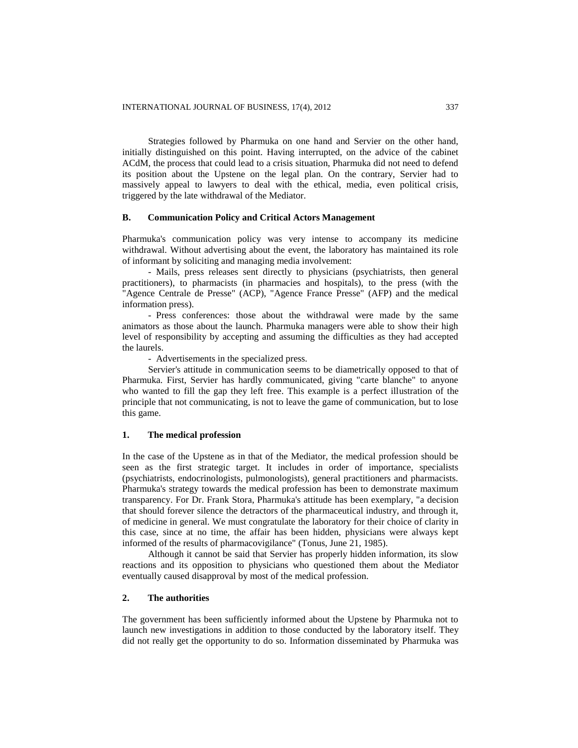Strategies followed by Pharmuka on one hand and Servier on the other hand, initially distinguished on this point. Having interrupted, on the advice of the cabinet ACdM, the process that could lead to a crisis situation, Pharmuka did not need to defend its position about the Upstene on the legal plan. On the contrary, Servier had to massively appeal to lawyers to deal with the ethical, media, even political crisis, triggered by the late withdrawal of the Mediator.

### **B. Communication Policy and Critical Actors Management**

Pharmuka's communication policy was very intense to accompany its medicine withdrawal. Without advertising about the event, the laboratory has maintained its role of informant by soliciting and managing media involvement:

- Mails, press releases sent directly to physicians (psychiatrists, then general practitioners), to pharmacists (in pharmacies and hospitals), to the press (with the "Agence Centrale de Presse" (ACP), "Agence France Presse" (AFP) and the medical information press).

- Press conferences: those about the withdrawal were made by the same animators as those about the launch. Pharmuka managers were able to show their high level of responsibility by accepting and assuming the difficulties as they had accepted the laurels.

- Advertisements in the specialized press.

Servier's attitude in communication seems to be diametrically opposed to that of Pharmuka. First, Servier has hardly communicated, giving "carte blanche" to anyone who wanted to fill the gap they left free. This example is a perfect illustration of the principle that not communicating, is not to leave the game of communication, but to lose this game.

### **1. The medical profession**

In the case of the Upstene as in that of the Mediator, the medical profession should be seen as the first strategic target. It includes in order of importance, specialists (psychiatrists, endocrinologists, pulmonologists), general practitioners and pharmacists. Pharmuka's strategy towards the medical profession has been to demonstrate maximum transparency. For Dr. Frank Stora, Pharmuka's attitude has been exemplary, "a decision that should forever silence the detractors of the pharmaceutical industry, and through it, of medicine in general. We must congratulate the laboratory for their choice of clarity in this case, since at no time, the affair has been hidden, physicians were always kept informed of the results of pharmacovigilance" (Tonus, June 21, 1985).

Although it cannot be said that Servier has properly hidden information, its slow reactions and its opposition to physicians who questioned them about the Mediator eventually caused disapproval by most of the medical profession.

### **2. The authorities**

The government has been sufficiently informed about the Upstene by Pharmuka not to launch new investigations in addition to those conducted by the laboratory itself. They did not really get the opportunity to do so. Information disseminated by Pharmuka was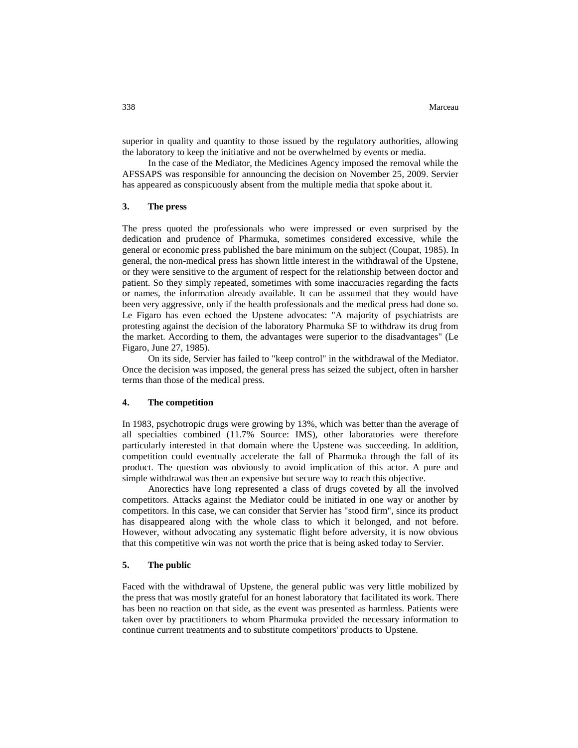superior in quality and quantity to those issued by the regulatory authorities, allowing the laboratory to keep the initiative and not be overwhelmed by events or media.

In the case of the Mediator, the Medicines Agency imposed the removal while the AFSSAPS was responsible for announcing the decision on November 25, 2009. Servier has appeared as conspicuously absent from the multiple media that spoke about it.

### **3. The press**

The press quoted the professionals who were impressed or even surprised by the dedication and prudence of Pharmuka, sometimes considered excessive, while the general or economic press published the bare minimum on the subject (Coupat, 1985). In general, the non-medical press has shown little interest in the withdrawal of the Upstene, or they were sensitive to the argument of respect for the relationship between doctor and patient. So they simply repeated, sometimes with some inaccuracies regarding the facts or names, the information already available. It can be assumed that they would have been very aggressive, only if the health professionals and the medical press had done so. Le Figaro has even echoed the Upstene advocates: "A majority of psychiatrists are protesting against the decision of the laboratory Pharmuka SF to withdraw its drug from the market. According to them, the advantages were superior to the disadvantages" (Le Figaro, June 27, 1985).

On its side, Servier has failed to "keep control" in the withdrawal of the Mediator. Once the decision was imposed, the general press has seized the subject, often in harsher terms than those of the medical press.

### **4. The competition**

In 1983, psychotropic drugs were growing by 13%, which was better than the average of all specialties combined (11.7% Source: IMS), other laboratories were therefore particularly interested in that domain where the Upstene was succeeding. In addition, competition could eventually accelerate the fall of Pharmuka through the fall of its product. The question was obviously to avoid implication of this actor. A pure and simple withdrawal was then an expensive but secure way to reach this objective.

Anorectics have long represented a class of drugs coveted by all the involved competitors. Attacks against the Mediator could be initiated in one way or another by competitors. In this case, we can consider that Servier has "stood firm", since its product has disappeared along with the whole class to which it belonged, and not before. However, without advocating any systematic flight before adversity, it is now obvious that this competitive win was not worth the price that is being asked today to Servier.

### **5. The public**

Faced with the withdrawal of Upstene, the general public was very little mobilized by the press that was mostly grateful for an honest laboratory that facilitated its work. There has been no reaction on that side, as the event was presented as harmless. Patients were taken over by practitioners to whom Pharmuka provided the necessary information to continue current treatments and to substitute competitors' products to Upstene.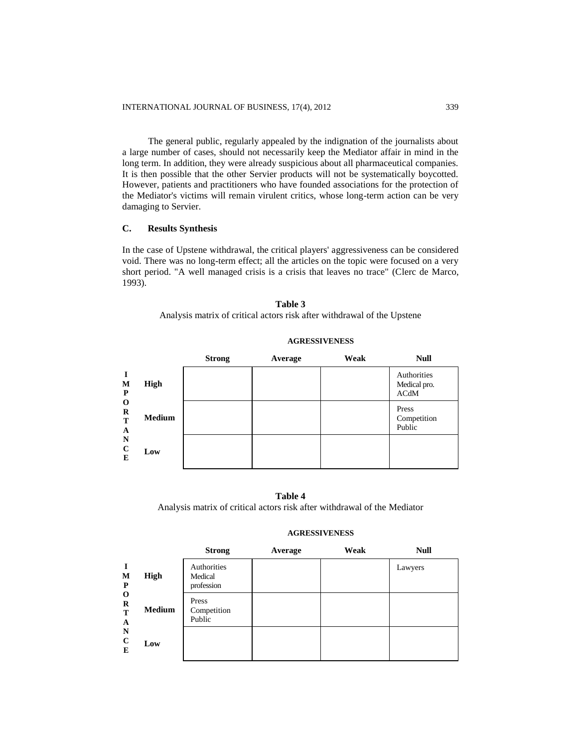The general public, regularly appealed by the indignation of the journalists about a large number of cases, should not necessarily keep the Mediator affair in mind in the long term. In addition, they were already suspicious about all pharmaceutical companies. It is then possible that the other Servier products will not be systematically boycotted. However, patients and practitioners who have founded associations for the protection of the Mediator's victims will remain virulent critics, whose long-term action can be very damaging to Servier.

### **C. Results Synthesis**

In the case of Upstene withdrawal, the critical players' aggressiveness can be considered void. There was no long-term effect; all the articles on the topic were focused on a very short period. "A well managed crisis is a crisis that leaves no trace" (Clerc de Marco, 1993).

### **Table 3** Analysis matrix of critical actors risk after withdrawal of the Upstene

|                        |               | <b>Strong</b> | Average | Weak | <b>Null</b>                         |
|------------------------|---------------|---------------|---------|------|-------------------------------------|
| M<br>P                 | High          |               |         |      | Authorities<br>Medical pro.<br>ACdM |
| O<br>$\bf R$<br>T<br>A | <b>Medium</b> |               |         |      | Press<br>Competition<br>Public      |
| N<br>$\mathbf C$<br>E  | Low           |               |         |      |                                     |

### **AGRESSIVENESS**

#### **Table 4**

Analysis matrix of critical actors risk after withdrawal of the Mediator

#### **I M P O R T A N C E High Medium Low** Press Competition Public Authorities Medical profession Lawyers **Strong Average Weak Null**

## **AGRESSIVENESS**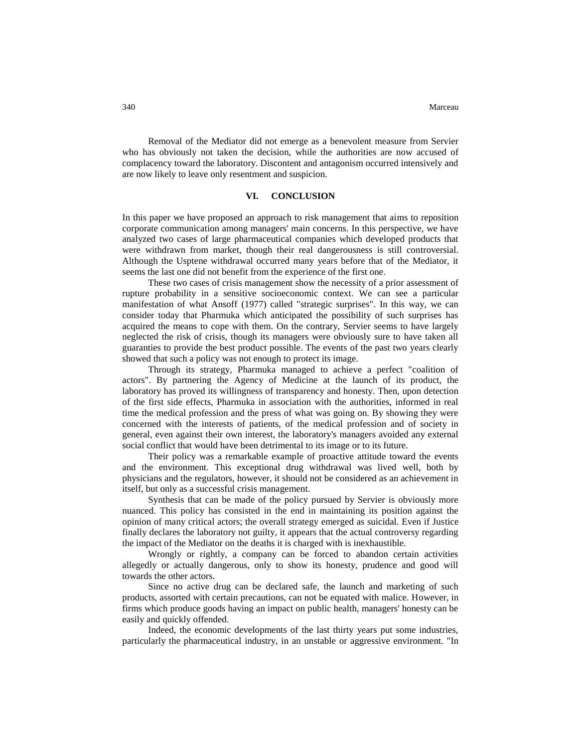Removal of the Mediator did not emerge as a benevolent measure from Servier who has obviously not taken the decision, while the authorities are now accused of complacency toward the laboratory. Discontent and antagonism occurred intensively and are now likely to leave only resentment and suspicion.

#### **VI. CONCLUSION**

In this paper we have proposed an approach to risk management that aims to reposition corporate communication among managers' main concerns. In this perspective, we have analyzed two cases of large pharmaceutical companies which developed products that were withdrawn from market, though their real dangerousness is still controversial. Although the Usptene withdrawal occurred many years before that of the Mediator, it seems the last one did not benefit from the experience of the first one.

These two cases of crisis management show the necessity of a prior assessment of rupture probability in a sensitive socioeconomic context. We can see a particular manifestation of what Ansoff (1977) called "strategic surprises". In this way, we can consider today that Pharmuka which anticipated the possibility of such surprises has acquired the means to cope with them. On the contrary, Servier seems to have largely neglected the risk of crisis, though its managers were obviously sure to have taken all guaranties to provide the best product possible. The events of the past two years clearly showed that such a policy was not enough to protect its image.

Through its strategy, Pharmuka managed to achieve a perfect "coalition of actors". By partnering the Agency of Medicine at the launch of its product, the laboratory has proved its willingness of transparency and honesty. Then, upon detection of the first side effects, Pharmuka in association with the authorities, informed in real time the medical profession and the press of what was going on. By showing they were concerned with the interests of patients, of the medical profession and of society in general, even against their own interest, the laboratory's managers avoided any external social conflict that would have been detrimental to its image or to its future.

Their policy was a remarkable example of proactive attitude toward the events and the environment. This exceptional drug withdrawal was lived well, both by physicians and the regulators, however, it should not be considered as an achievement in itself, but only as a successful crisis management.

Synthesis that can be made of the policy pursued by Servier is obviously more nuanced. This policy has consisted in the end in maintaining its position against the opinion of many critical actors; the overall strategy emerged as suicidal. Even if Justice finally declares the laboratory not guilty, it appears that the actual controversy regarding the impact of the Mediator on the deaths it is charged with is inexhaustible.

Wrongly or rightly, a company can be forced to abandon certain activities allegedly or actually dangerous, only to show its honesty, prudence and good will towards the other actors.

Since no active drug can be declared safe, the launch and marketing of such products, assorted with certain precautions, can not be equated with malice. However, in firms which produce goods having an impact on public health, managers' honesty can be easily and quickly offended.

Indeed, the economic developments of the last thirty years put some industries, particularly the pharmaceutical industry, in an unstable or aggressive environment. "In